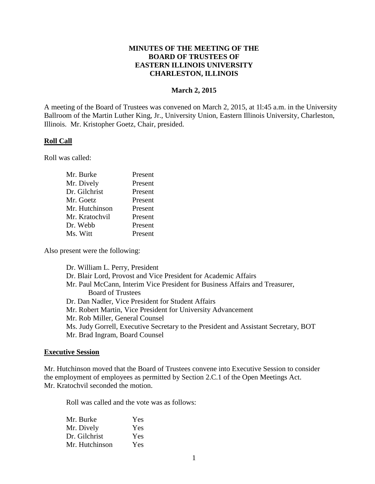## **MINUTES OF THE MEETING OF THE BOARD OF TRUSTEES OF EASTERN ILLINOIS UNIVERSITY CHARLESTON, ILLINOIS**

## **March 2, 2015**

A meeting of the Board of Trustees was convened on March 2, 2015, at 1l:45 a.m. in the University Ballroom of the Martin Luther King, Jr., University Union, Eastern Illinois University, Charleston, Illinois. Mr. Kristopher Goetz, Chair, presided.

## **Roll Call**

Roll was called:

| Mr. Burke      | Present |
|----------------|---------|
| Mr. Dively     | Present |
| Dr. Gilchrist  | Present |
| Mr. Goetz      | Present |
| Mr. Hutchinson | Present |
| Mr. Kratochvil | Present |
| Dr. Webb       | Present |
| Ms. Witt       | Present |

Also present were the following:

| Dr. William L. Perry, President                                                     |
|-------------------------------------------------------------------------------------|
| Dr. Blair Lord, Provost and Vice President for Academic Affairs                     |
| Mr. Paul McCann, Interim Vice President for Business Affairs and Treasurer,         |
| <b>Board of Trustees</b>                                                            |
| Dr. Dan Nadler, Vice President for Student Affairs                                  |
| Mr. Robert Martin, Vice President for University Advancement                        |
| Mr. Rob Miller, General Counsel                                                     |
| Ms. Judy Gorrell, Executive Secretary to the President and Assistant Secretary, BOT |
| Mr. Brad Ingram, Board Counsel                                                      |
|                                                                                     |

#### **Executive Session**

Mr. Hutchinson moved that the Board of Trustees convene into Executive Session to consider the employment of employees as permitted by Section 2.C.1 of the Open Meetings Act. Mr. Kratochvil seconded the motion.

Roll was called and the vote was as follows:

| Mr. Burke      | Yes |
|----------------|-----|
| Mr. Dively     | Yes |
| Dr. Gilchrist  | Yes |
| Mr. Hutchinson | Yes |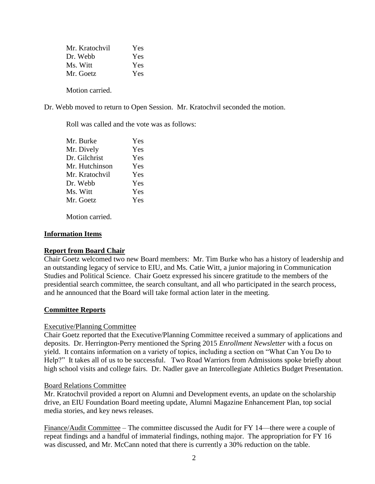| Mr. Kratochvil | Yes |
|----------------|-----|
| Dr. Webb       | Yes |
| Ms. Witt       | Yes |
| Mr. Goetz      | Yes |
|                |     |

Motion carried.

Dr. Webb moved to return to Open Session. Mr. Kratochvil seconded the motion.

Roll was called and the vote was as follows:

| Mr. Burke      | Yes |
|----------------|-----|
| Mr. Dively     | Yes |
| Dr. Gilchrist  | Yes |
| Mr. Hutchinson | Yes |
| Mr. Kratochvil | Yes |
| Dr. Webb       | Yes |
| Ms. Witt       | Yes |
| Mr. Goetz      | Yes |
|                |     |

Motion carried.

## **Information Items**

## **Report from Board Chair**

Chair Goetz welcomed two new Board members: Mr. Tim Burke who has a history of leadership and an outstanding legacy of service to EIU, and Ms. Catie Witt, a junior majoring in Communication Studies and Political Science. Chair Goetz expressed his sincere gratitude to the members of the presidential search committee, the search consultant, and all who participated in the search process, and he announced that the Board will take formal action later in the meeting.

## **Committee Reports**

#### Executive/Planning Committee

Chair Goetz reported that the Executive/Planning Committee received a summary of applications and deposits. Dr. Herrington-Perry mentioned the Spring 2015 *Enrollment Newsletter* with a focus on yield. It contains information on a variety of topics, including a section on "What Can You Do to Help?" It takes all of us to be successful. Two Road Warriors from Admissions spoke briefly about high school visits and college fairs. Dr. Nadler gave an Intercollegiate Athletics Budget Presentation.

#### Board Relations Committee

Mr. Kratochvil provided a report on Alumni and Development events, an update on the scholarship drive, an EIU Foundation Board meeting update, Alumni Magazine Enhancement Plan, top social media stories, and key news releases.

Finance/Audit Committee – The committee discussed the Audit for FY 14—there were a couple of repeat findings and a handful of immaterial findings, nothing major. The appropriation for FY 16 was discussed, and Mr. McCann noted that there is currently a 30% reduction on the table.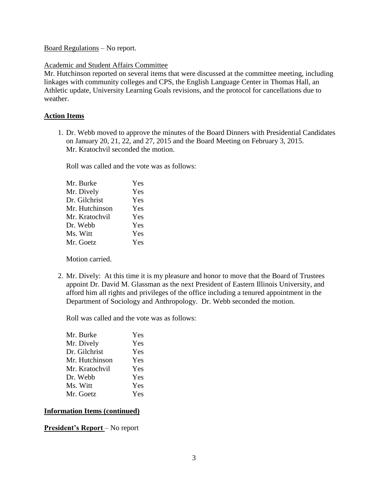Board Regulations – No report.

### Academic and Student Affairs Committee

Mr. Hutchinson reported on several items that were discussed at the committee meeting, including linkages with community colleges and CPS, the English Language Center in Thomas Hall, an Athletic update, University Learning Goals revisions, and the protocol for cancellations due to weather.

## **Action Items**

1. Dr. Webb moved to approve the minutes of the Board Dinners with Presidential Candidates on January 20, 21, 22, and 27, 2015 and the Board Meeting on February 3, 2015. Mr. Kratochvil seconded the motion.

Roll was called and the vote was as follows:

| Mr. Burke      | Yes |
|----------------|-----|
| Mr. Dively     | Yes |
| Dr. Gilchrist  | Yes |
| Mr. Hutchinson | Yes |
| Mr. Kratochvil | Yes |
| Dr. Webb       | Yes |
| Ms. Witt       | Yes |
| Mr. Goetz      | Yes |
|                |     |

Motion carried.

2. Mr. Dively: At this time it is my pleasure and honor to move that the Board of Trustees appoint Dr. David M. Glassman as the next President of Eastern Illinois University, and afford him all rights and privileges of the office including a tenured appointment in the Department of Sociology and Anthropology. Dr. Webb seconded the motion.

Roll was called and the vote was as follows:

| Mr. Burke      | Yes |
|----------------|-----|
| Mr. Dively     | Yes |
| Dr. Gilchrist  | Yes |
| Mr. Hutchinson | Yes |
| Mr. Kratochvil | Yes |
| Dr. Webb       | Yes |
| Ms. Witt       | Yes |
| Mr. Goetz      | Yes |

## **Information Items (continued)**

**President's Report** – No report